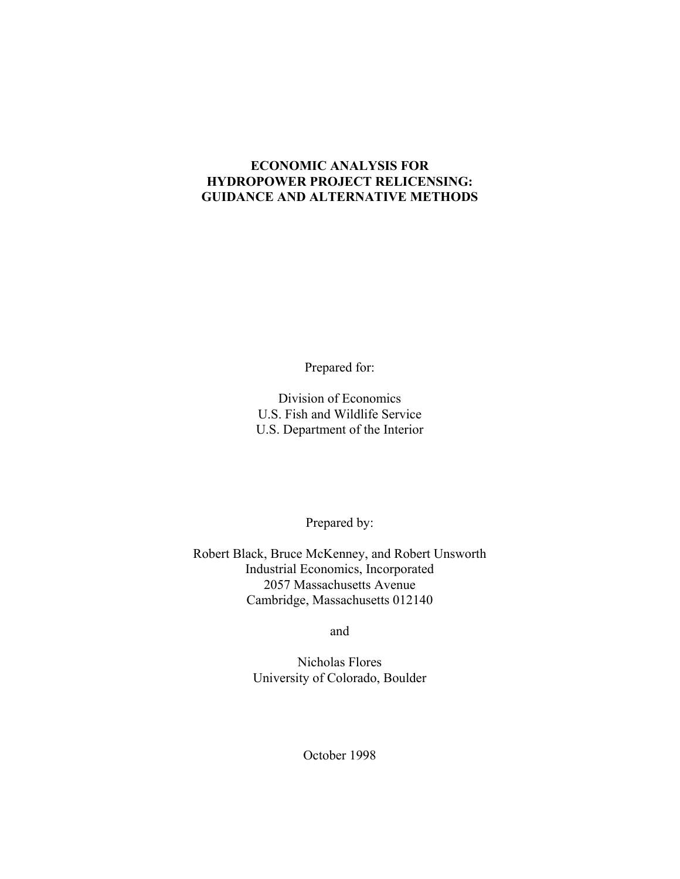#### **ECONOMIC ANALYSIS FOR HYDROPOWER PROJECT RELICENSING: GUIDANCE AND ALTERNATIVE METHODS**

Prepared for:

Division of Economics U.S. Fish and Wildlife Service U.S. Department of the Interior

Prepared by:

Robert Black, Bruce McKenney, and Robert Unsworth Industrial Economics, Incorporated 2057 Massachusetts Avenue Cambridge, Massachusetts 012140

and

Nicholas Flores University of Colorado, Boulder

October 1998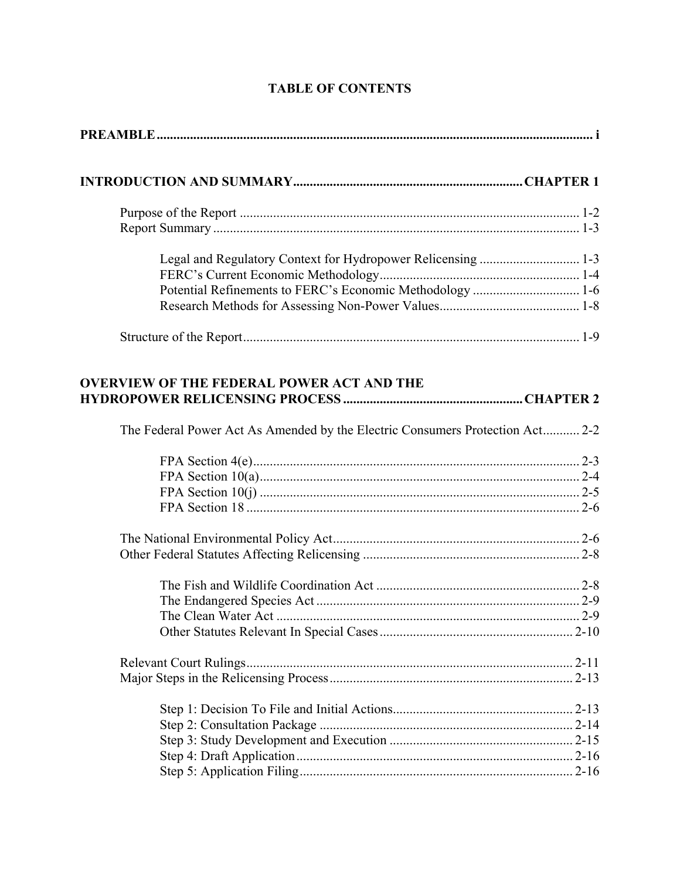| Potential Refinements to FERC's Economic Methodology  1-6                     |  |
|-------------------------------------------------------------------------------|--|
|                                                                               |  |
|                                                                               |  |
| <b>OVERVIEW OF THE FEDERAL POWER ACT AND THE</b>                              |  |
| The Federal Power Act As Amended by the Electric Consumers Protection Act 2-2 |  |
|                                                                               |  |
|                                                                               |  |
|                                                                               |  |
|                                                                               |  |
|                                                                               |  |
|                                                                               |  |
|                                                                               |  |
|                                                                               |  |
|                                                                               |  |
|                                                                               |  |
|                                                                               |  |
|                                                                               |  |
|                                                                               |  |
|                                                                               |  |
|                                                                               |  |

## **TABLE OF CONTENTS**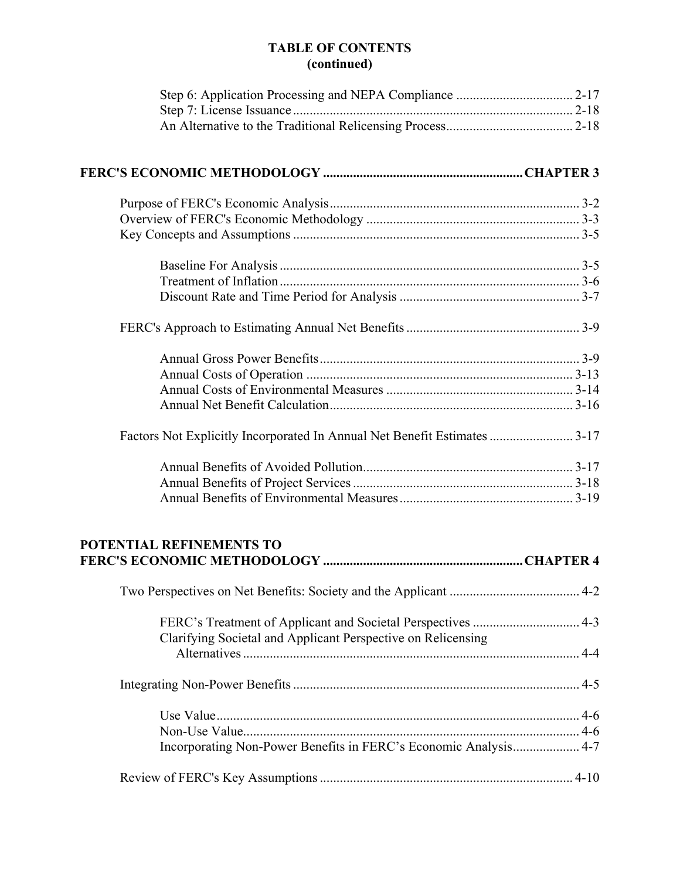### **TABLE OF CONTENTS (continued)**

| Factors Not Explicitly Incorporated In Annual Net Benefit Estimates  3-17 |  |
|---------------------------------------------------------------------------|--|
|                                                                           |  |
|                                                                           |  |
|                                                                           |  |
| <b>POTENTIAL REFINEMENTS TO</b>                                           |  |
|                                                                           |  |
|                                                                           |  |
| Clarifying Societal and Applicant Perspective on Relicensing              |  |
|                                                                           |  |
|                                                                           |  |
|                                                                           |  |
|                                                                           |  |
| Incorporating Non-Power Benefits in FERC's Economic Analysis 4-7          |  |
|                                                                           |  |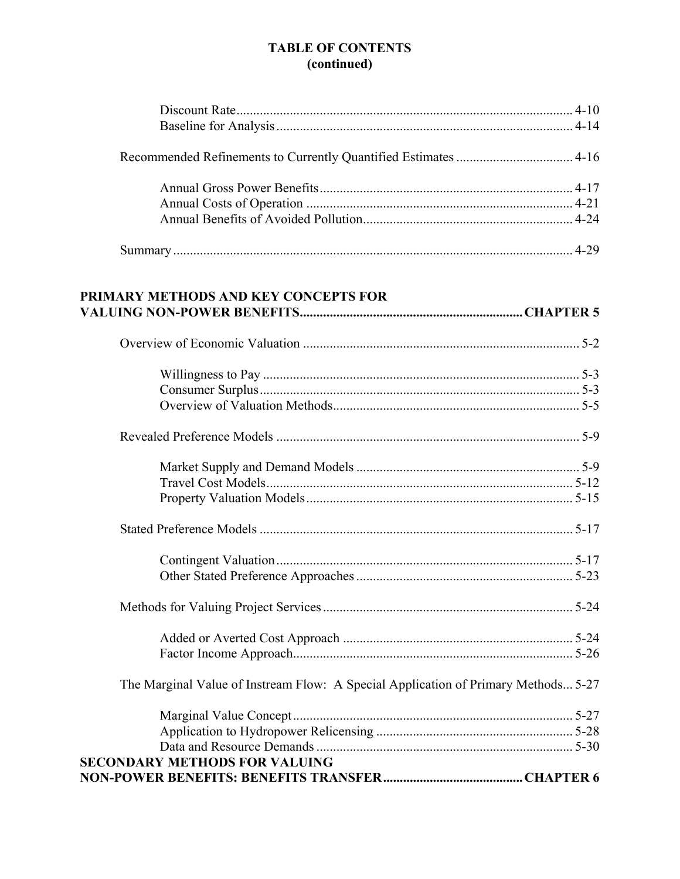### **TABLE OF CONTENTS** (continued)

| PRIMARY METHODS AND KEY CONCEPTS FOR                                               |  |
|------------------------------------------------------------------------------------|--|
|                                                                                    |  |
|                                                                                    |  |
|                                                                                    |  |
|                                                                                    |  |
|                                                                                    |  |
|                                                                                    |  |
|                                                                                    |  |
|                                                                                    |  |
| The Marginal Value of Instream Flow: A Special Application of Primary Methods 5-27 |  |
| <b>SECONDARY METHODS FOR VALUING</b>                                               |  |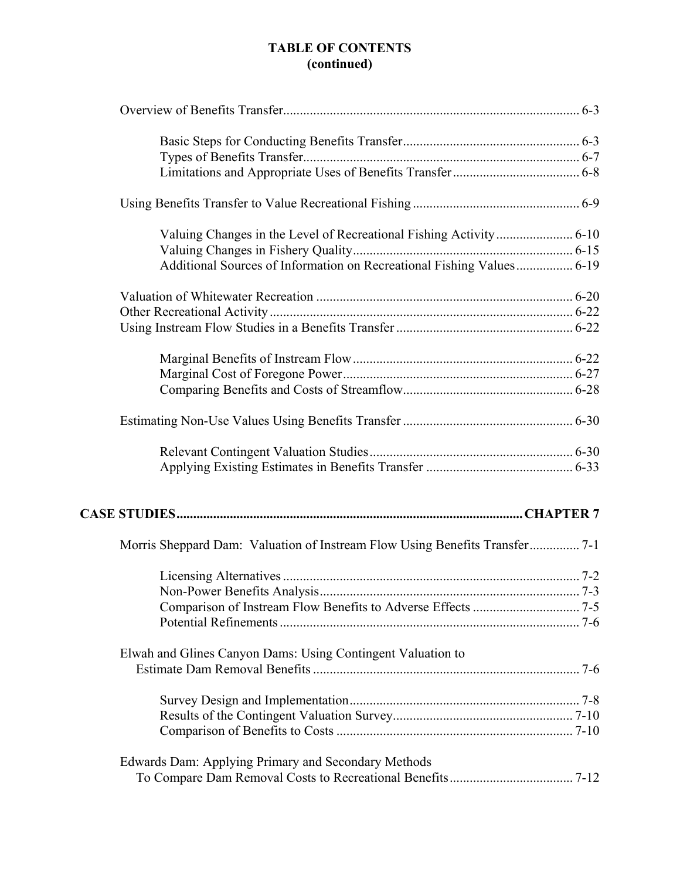### **TABLE OF CONTENTS (continued)**

| Additional Sources of Information on Recreational Fishing Values 6-19       |  |
|-----------------------------------------------------------------------------|--|
|                                                                             |  |
|                                                                             |  |
|                                                                             |  |
|                                                                             |  |
|                                                                             |  |
|                                                                             |  |
|                                                                             |  |
|                                                                             |  |
|                                                                             |  |
|                                                                             |  |
| Morris Sheppard Dam: Valuation of Instream Flow Using Benefits Transfer 7-1 |  |
|                                                                             |  |
|                                                                             |  |
|                                                                             |  |
|                                                                             |  |
| Elwah and Glines Canyon Dams: Using Contingent Valuation to                 |  |
|                                                                             |  |
|                                                                             |  |
|                                                                             |  |
|                                                                             |  |
| Edwards Dam: Applying Primary and Secondary Methods                         |  |
|                                                                             |  |